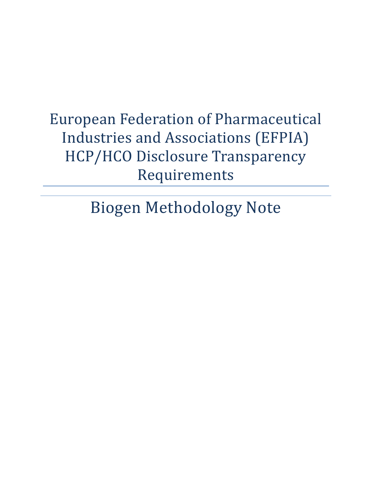# European Federation of Pharmaceutical Industries and Associations (EFPIA) HCP/HCO Disclosure Transparency Requirements

Biogen Methodology Note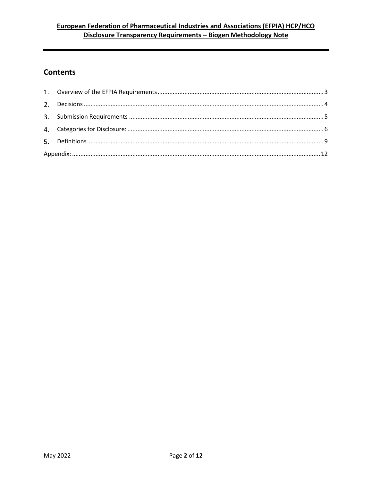## European Federation of Pharmaceutical Industries and Associations (EFPIA) HCP/HCO Disclosure Transparency Requirements - Biogen Methodology Note

## **Contents**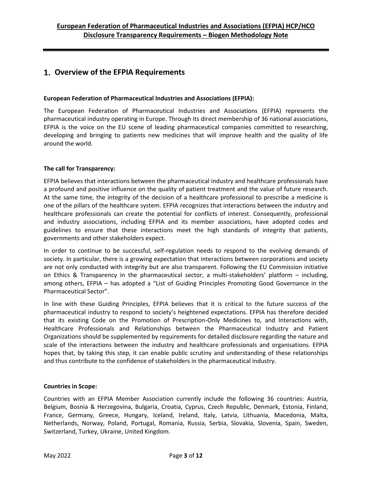## <span id="page-2-0"></span>**Overview of the EFPIA Requirements**

#### **European Federation of Pharmaceutical Industries and Associations (EFPIA):**

The European Federation of Pharmaceutical Industries and Associations (EFPIA) represents the pharmaceutical industry operating in Europe. Through its direct membership of 36 national associations, EFPIA is the voice on the EU scene of leading pharmaceutical companies committed to researching, developing and bringing to patients new medicines that will improve health and the quality of life around the world.

#### **The call for Transparency:**

EFPIA believes that interactions between the pharmaceutical industry and healthcare professionals have a profound and positive influence on the quality of patient treatment and the value of future research. At the same time, the integrity of the decision of a healthcare professional to prescribe a medicine is one of the pillars of the healthcare system. EFPIA recognizes that interactions between the industry and healthcare professionals can create the potential for conflicts of interest. Consequently, professional and industry associations, including EFPIA and its member associations, have adopted codes and guidelines to ensure that these interactions meet the high standards of integrity that patients, governments and other stakeholders expect.

In order to continue to be successful, self-regulation needs to respond to the evolving demands of society. In particular, there is a growing expectation that interactions between corporations and society are not only conducted with integrity but are also transparent. Following the EU Commission initiative on Ethics & Transparency in the pharmaceutical sector, a multi-stakeholders' platform – including, among others, EFPIA – has adopted a "List of Guiding Principles Promoting Good Governance in the Pharmaceutical Sector".

In line with these Guiding Principles, EFPIA believes that it is critical to the future success of the pharmaceutical industry to respond to society's heightened expectations. EFPIA has therefore decided that its existing Code on the Promotion of Prescription-Only Medicines to, and Interactions with, Healthcare Professionals and Relationships between the Pharmaceutical Industry and Patient Organizations should be supplemented by requirements for detailed disclosure regarding the nature and scale of the interactions between the industry and healthcare professionals and organisations. EFPIA hopes that, by taking this step, it can enable public scrutiny and understanding of these relationships and thus contribute to the confidence of stakeholders in the pharmaceutical industry.

#### **Countries in Scope:**

Countries with an EFPIA Member Association currently include the following 36 countries: Austria, Belgium, Bosnia & Herzegovina, Bulgaria, Croatia, Cyprus, Czech Republic, Denmark, Estonia, Finland, France, Germany, Greece, Hungary, Iceland, Ireland, Italy, Latvia, Lithuania, Macedonia, Malta, Netherlands, Norway, Poland, Portugal, Romania, Russia, Serbia, Slovakia, Slovenia, Spain, Sweden, Switzerland, Turkey, Ukraine, United Kingdom.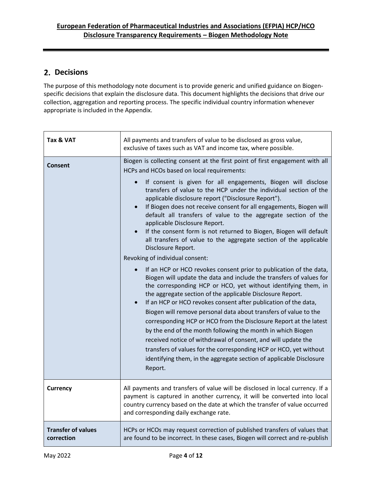## <span id="page-3-0"></span>2. Decisions

The purpose of this methodology note document is to provide generic and unified guidance on Biogenspecific decisions that explain the disclosure data. This document highlights the decisions that drive our collection, aggregation and reporting process. The specific individual country information whenever appropriate is included in the Appendix.

| Tax & VAT                               | All payments and transfers of value to be disclosed as gross value,<br>exclusive of taxes such as VAT and income tax, where possible.                                                                                                                                                                                                                                                                                                                                                                                                                                                                                                                                                                                                                                                                                                                                                                                                                                                                                                                                                                                                                                                                                                                                                                                                                                                                                                                                                                                        |
|-----------------------------------------|------------------------------------------------------------------------------------------------------------------------------------------------------------------------------------------------------------------------------------------------------------------------------------------------------------------------------------------------------------------------------------------------------------------------------------------------------------------------------------------------------------------------------------------------------------------------------------------------------------------------------------------------------------------------------------------------------------------------------------------------------------------------------------------------------------------------------------------------------------------------------------------------------------------------------------------------------------------------------------------------------------------------------------------------------------------------------------------------------------------------------------------------------------------------------------------------------------------------------------------------------------------------------------------------------------------------------------------------------------------------------------------------------------------------------------------------------------------------------------------------------------------------------|
| Consent                                 | Biogen is collecting consent at the first point of first engagement with all<br>HCPs and HCOs based on local requirements:<br>If consent is given for all engagements, Biogen will disclose<br>transfers of value to the HCP under the individual section of the<br>applicable disclosure report ("Disclosure Report").<br>If Biogen does not receive consent for all engagements, Biogen will<br>$\bullet$<br>default all transfers of value to the aggregate section of the<br>applicable Disclosure Report.<br>If the consent form is not returned to Biogen, Biogen will default<br>$\bullet$<br>all transfers of value to the aggregate section of the applicable<br>Disclosure Report.<br>Revoking of individual consent:<br>If an HCP or HCO revokes consent prior to publication of the data,<br>$\bullet$<br>Biogen will update the data and include the transfers of values for<br>the corresponding HCP or HCO, yet without identifying them, in<br>the aggregate section of the applicable Disclosure Report.<br>If an HCP or HCO revokes consent after publication of the data,<br>Biogen will remove personal data about transfers of value to the<br>corresponding HCP or HCO from the Disclosure Report at the latest<br>by the end of the month following the month in which Biogen<br>received notice of withdrawal of consent, and will update the<br>transfers of values for the corresponding HCP or HCO, yet without<br>identifying them, in the aggregate section of applicable Disclosure<br>Report. |
| <b>Currency</b>                         | All payments and transfers of value will be disclosed in local currency. If a<br>payment is captured in another currency, it will be converted into local<br>country currency based on the date at which the transfer of value occurred<br>and corresponding daily exchange rate.                                                                                                                                                                                                                                                                                                                                                                                                                                                                                                                                                                                                                                                                                                                                                                                                                                                                                                                                                                                                                                                                                                                                                                                                                                            |
| <b>Transfer of values</b><br>correction | HCPs or HCOs may request correction of published transfers of values that<br>are found to be incorrect. In these cases, Biogen will correct and re-publish                                                                                                                                                                                                                                                                                                                                                                                                                                                                                                                                                                                                                                                                                                                                                                                                                                                                                                                                                                                                                                                                                                                                                                                                                                                                                                                                                                   |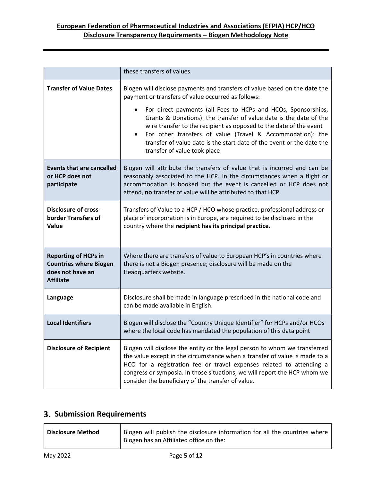## **European Federation of Pharmaceutical Industries and Associations (EFPIA) HCP/HCO Disclosure Transparency Requirements – Biogen Methodology Note**

|                                                                                                      | these transfers of values.                                                                                                                                                                                                                                                                                                                                                                                                                                                                                                        |
|------------------------------------------------------------------------------------------------------|-----------------------------------------------------------------------------------------------------------------------------------------------------------------------------------------------------------------------------------------------------------------------------------------------------------------------------------------------------------------------------------------------------------------------------------------------------------------------------------------------------------------------------------|
| <b>Transfer of Value Dates</b>                                                                       | Biogen will disclose payments and transfers of value based on the date the<br>payment or transfers of value occurred as follows:<br>For direct payments (all Fees to HCPs and HCOs, Sponsorships,<br>Grants & Donations): the transfer of value date is the date of the<br>wire transfer to the recipient as opposed to the date of the event<br>For other transfers of value (Travel & Accommodation): the<br>$\bullet$<br>transfer of value date is the start date of the event or the date the<br>transfer of value took place |
| <b>Events that are cancelled</b><br>or HCP does not<br>participate                                   | Biogen will attribute the transfers of value that is incurred and can be<br>reasonably associated to the HCP. In the circumstances when a flight or<br>accommodation is booked but the event is cancelled or HCP does not<br>attend, no transfer of value will be attributed to that HCP.                                                                                                                                                                                                                                         |
| <b>Disclosure of cross-</b><br>border Transfers of<br>Value                                          | Transfers of Value to a HCP / HCO whose practice, professional address or<br>place of incorporation is in Europe, are required to be disclosed in the<br>country where the recipient has its principal practice.                                                                                                                                                                                                                                                                                                                  |
| <b>Reporting of HCPs in</b><br><b>Countries where Biogen</b><br>does not have an<br><b>Affiliate</b> | Where there are transfers of value to European HCP's in countries where<br>there is not a Biogen presence; disclosure will be made on the<br>Headquarters website.                                                                                                                                                                                                                                                                                                                                                                |
| Language                                                                                             | Disclosure shall be made in language prescribed in the national code and<br>can be made available in English.                                                                                                                                                                                                                                                                                                                                                                                                                     |
| <b>Local Identifiers</b>                                                                             | Biogen will disclose the "Country Unique Identifier" for HCPs and/or HCOs<br>where the local code has mandated the population of this data point                                                                                                                                                                                                                                                                                                                                                                                  |
| <b>Disclosure of Recipient</b>                                                                       | Biogen will disclose the entity or the legal person to whom we transferred<br>the value except in the circumstance when a transfer of value is made to a<br>HCO for a registration fee or travel expenses related to attending a<br>congress or symposia. In those situations, we will report the HCP whom we<br>consider the beneficiary of the transfer of value.                                                                                                                                                               |

## <span id="page-4-0"></span>**Submission Requirements**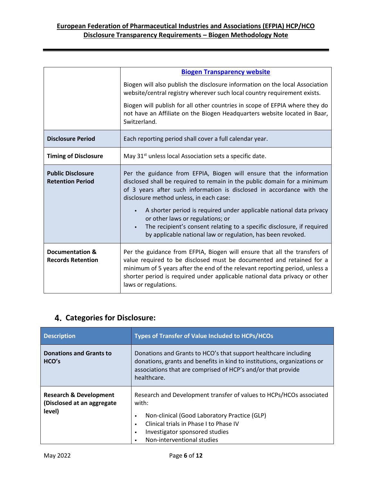|                                                     | <b>Biogen Transparency website</b>                                                                                                                                                                                                                                                                                                                                                                                                                        |
|-----------------------------------------------------|-----------------------------------------------------------------------------------------------------------------------------------------------------------------------------------------------------------------------------------------------------------------------------------------------------------------------------------------------------------------------------------------------------------------------------------------------------------|
|                                                     | Biogen will also publish the disclosure information on the local Association<br>website/central registry wherever such local country requirement exists.                                                                                                                                                                                                                                                                                                  |
|                                                     | Biogen will publish for all other countries in scope of EFPIA where they do<br>not have an Affiliate on the Biogen Headquarters website located in Baar,<br>Switzerland.                                                                                                                                                                                                                                                                                  |
| <b>Disclosure Period</b>                            | Each reporting period shall cover a full calendar year.                                                                                                                                                                                                                                                                                                                                                                                                   |
| <b>Timing of Disclosure</b>                         | May 31 <sup>st</sup> unless local Association sets a specific date.                                                                                                                                                                                                                                                                                                                                                                                       |
| <b>Public Disclosure</b><br><b>Retention Period</b> | Per the guidance from EFPIA, Biogen will ensure that the information<br>disclosed shall be required to remain in the public domain for a minimum<br>of 3 years after such information is disclosed in accordance with the<br>disclosure method unless, in each case:<br>A shorter period is required under applicable national data privacy<br>or other laws or regulations; or<br>The recipient's consent relating to a specific disclosure, if required |
|                                                     | by applicable national law or regulation, has been revoked.                                                                                                                                                                                                                                                                                                                                                                                               |
| Documentation &<br><b>Records Retention</b>         | Per the guidance from EFPIA, Biogen will ensure that all the transfers of<br>value required to be disclosed must be documented and retained for a<br>minimum of 5 years after the end of the relevant reporting period, unless a<br>shorter period is required under applicable national data privacy or other<br>laws or regulations.                                                                                                                    |

## <span id="page-5-0"></span>**Categories for Disclosure:**

| <b>Description</b>                                                        | <b>Types of Transfer of Value Included to HCPs/HCOs</b>                                                                                                                                                                                                                            |
|---------------------------------------------------------------------------|------------------------------------------------------------------------------------------------------------------------------------------------------------------------------------------------------------------------------------------------------------------------------------|
| <b>Donations and Grants to</b><br>HCO's                                   | Donations and Grants to HCO's that support healthcare including<br>donations, grants and benefits in kind to institutions, organizations or<br>associations that are comprised of HCP's and/or that provide<br>healthcare.                                                         |
| <b>Research &amp; Development</b><br>(Disclosed at an aggregate<br>level) | Research and Development transfer of values to HCPs/HCOs associated<br>with:<br>Non-clinical (Good Laboratory Practice (GLP)<br>$\bullet$<br>Clinical trials in Phase I to Phase IV<br>$\bullet$<br>Investigator sponsored studies<br>$\bullet$<br>Non-interventional studies<br>٠ |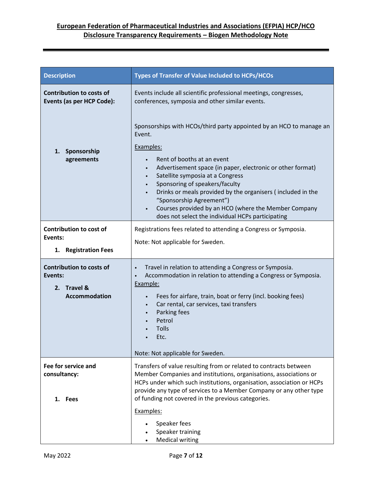| <b>Description</b>                                                                | <b>Types of Transfer of Value Included to HCPs/HCOs</b>                                                                                                                                                                                                                                                                                                                                                                                                                                     |
|-----------------------------------------------------------------------------------|---------------------------------------------------------------------------------------------------------------------------------------------------------------------------------------------------------------------------------------------------------------------------------------------------------------------------------------------------------------------------------------------------------------------------------------------------------------------------------------------|
| <b>Contribution to costs of</b><br>Events (as per HCP Code):                      | Events include all scientific professional meetings, congresses,<br>conferences, symposia and other similar events.                                                                                                                                                                                                                                                                                                                                                                         |
| Sponsorship<br>1.<br>agreements                                                   | Sponsorships with HCOs/third party appointed by an HCO to manage an<br>Event.<br>Examples:<br>Rent of booths at an event<br>Advertisement space (in paper, electronic or other format)<br>٠<br>Satellite symposia at a Congress<br>٠<br>Sponsoring of speakers/faculty<br>$\bullet$<br>Drinks or meals provided by the organisers (included in the<br>"Sponsorship Agreement")<br>Courses provided by an HCO (where the Member Company<br>does not select the individual HCPs participating |
| <b>Contribution to cost of</b><br>Events:<br>1. Registration Fees                 | Registrations fees related to attending a Congress or Symposia.<br>Note: Not applicable for Sweden.                                                                                                                                                                                                                                                                                                                                                                                         |
| <b>Contribution to costs of</b><br>Events:<br>2. Travel &<br><b>Accommodation</b> | Travel in relation to attending a Congress or Symposia.<br>$\bullet$<br>Accommodation in relation to attending a Congress or Symposia.<br>$\bullet$<br>Example:<br>Fees for airfare, train, boat or ferry (incl. booking fees)<br>Car rental, car services, taxi transfers<br>$\bullet$<br>Parking fees<br>$\bullet$<br>Petrol<br><b>Tolls</b><br>Etc.<br>Note: Not applicable for Sweden.                                                                                                  |
| Fee for service and<br>consultancy:<br>1. Fees                                    | Transfers of value resulting from or related to contracts between<br>Member Companies and institutions, organisations, associations or<br>HCPs under which such institutions, organisation, association or HCPs<br>provide any type of services to a Member Company or any other type<br>of funding not covered in the previous categories.<br>Examples:<br>Speaker fees<br>Speaker training<br><b>Medical writing</b>                                                                      |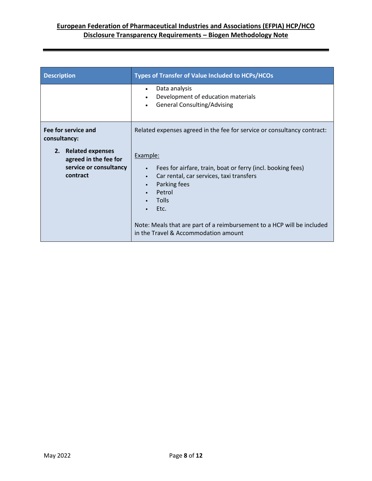| <b>Description</b>                                                                                                        | <b>Types of Transfer of Value Included to HCPs/HCOs</b>                                                                                                                                                                                                                                                                                                                                            |
|---------------------------------------------------------------------------------------------------------------------------|----------------------------------------------------------------------------------------------------------------------------------------------------------------------------------------------------------------------------------------------------------------------------------------------------------------------------------------------------------------------------------------------------|
|                                                                                                                           | Data analysis<br>$\bullet$<br>Development of education materials<br>$\bullet$<br><b>General Consulting/Advising</b>                                                                                                                                                                                                                                                                                |
| Fee for service and<br>consultancy:<br>2. Related expenses<br>agreed in the fee for<br>service or consultancy<br>contract | Related expenses agreed in the fee for service or consultancy contract:<br>Example:<br>Fees for airfare, train, boat or ferry (incl. booking fees)<br>$\bullet$<br>Car rental, car services, taxi transfers<br>$\bullet$<br>Parking fees<br>$\bullet$<br>Petrol<br>Tolls<br>Etc.<br>Note: Meals that are part of a reimbursement to a HCP will be included<br>in the Travel & Accommodation amount |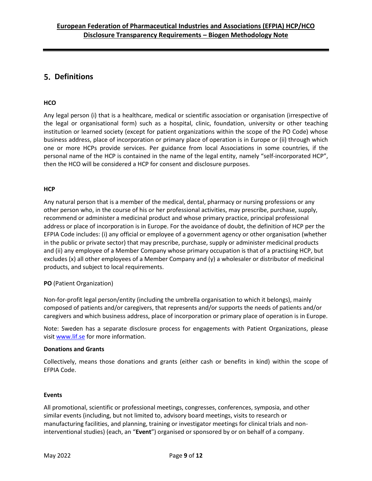## <span id="page-8-0"></span>**Definitions**

#### **HCO**

Any legal person (i) that is a healthcare, medical or scientific association or organisation (irrespective of the legal or organisational form) such as a hospital, clinic, foundation, university or other teaching institution or learned society (except for patient organizations within the scope of the PO Code) whose business address, place of incorporation or primary place of operation is in Europe or (ii) through which one or more HCPs provide services. Per guidance from local Associations in some countries, if the personal name of the HCP is contained in the name of the legal entity, namely "self-incorporated HCP", then the HCO will be considered a HCP for consent and disclosure purposes.

#### **HCP**

Any natural person that is a member of the medical, dental, pharmacy or nursing professions or any other person who, in the course of his or her professional activities, may prescribe, purchase, supply, recommend or administer a medicinal product and whose primary practice, principal professional address or place of incorporation is in Europe. For the avoidance of doubt, the definition of HCP per the EFPIA Code includes: (i) any official or employee of a government agency or other organisation (whether in the public or private sector) that may prescribe, purchase, supply or administer medicinal products and (ii) any employee of a Member Company whose primary occupation is that of a practising HCP, but excludes (x) all other employees of a Member Company and (y) a wholesaler or distributor of medicinal products, and subject to local requirements.

#### **PO** (Patient Organization)

Non-for-profit legal person/entity (including the umbrella organisation to which it belongs), mainly composed of patients and/or caregivers, that represents and/or supports the needs of patients and/or caregivers and which business address, place of incorporation or primary place of operation is in Europe.

Note: Sweden has a separate disclosure process for engagements with Patient Organizations, please visi[t www.lif.se](http://www.lif.se/) for more information.

#### **Donations and Grants**

Collectively, means those donations and grants (either cash or benefits in kind) within the scope of EFPIA Code.

#### **Events**

All promotional, scientific or professional meetings, congresses, conferences, symposia, and other similar events (including, but not limited to, advisory board meetings, visits to research or manufacturing facilities, and planning, training or investigator meetings for clinical trials and noninterventional studies) (each, an "**Event**") organised or sponsored by or on behalf of a company.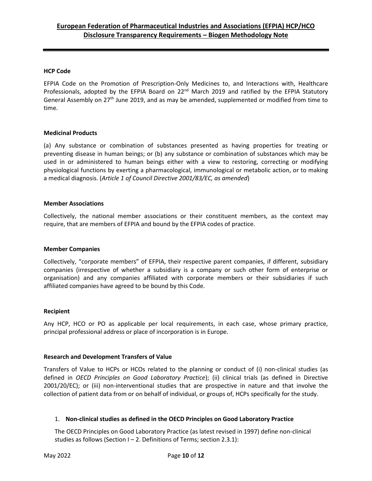#### **HCP Code**

EFPIA Code on the Promotion of Prescription-Only Medicines to, and Interactions with, Healthcare Professionals, adopted by the EFPIA Board on 22<sup>nd</sup> March 2019 and ratified by the EFPIA Statutory General Assembly on 27<sup>th</sup> June 2019, and as may be amended, supplemented or modified from time to time.

#### **Medicinal Products**

(a) Any substance or combination of substances presented as having properties for treating or preventing disease in human beings; or (b) any substance or combination of substances which may be used in or administered to human beings either with a view to restoring, correcting or modifying physiological functions by exerting a pharmacological, immunological or metabolic action, or to making a medical diagnosis. (*Article 1 of Council Directive 2001/83/EC, as amended*)

#### **Member Associations**

Collectively, the national member associations or their constituent members, as the context may require, that are members of EFPIA and bound by the EFPIA codes of practice.

#### **Member Companies**

Collectively, "corporate members" of EFPIA, their respective parent companies, if different, subsidiary companies (irrespective of whether a subsidiary is a company or such other form of enterprise or organisation) and any companies affiliated with corporate members or their subsidiaries if such affiliated companies have agreed to be bound by this Code.

#### **Recipient**

Any HCP, HCO or PO as applicable per local requirements, in each case, whose primary practice, principal professional address or place of incorporation is in Europe.

#### **Research and Development Transfers of Value**

Transfers of Value to HCPs or HCOs related to the planning or conduct of (i) non-clinical studies (as defined in *OECD Principles on Good Laboratory Practice*); (ii) clinical trials (as defined in Directive 2001/20/EC); or (iii) non-interventional studies that are prospective in nature and that involve the collection of patient data from or on behalf of individual, or groups of, HCPs specifically for the study.

#### 1. **Non-clinical studies as defined in the OECD Principles on Good Laboratory Practice**

The OECD Principles on Good Laboratory Practice (as latest revised in 1997) define non-clinical studies as follows (Section  $I - 2$ . Definitions of Terms; section 2.3.1):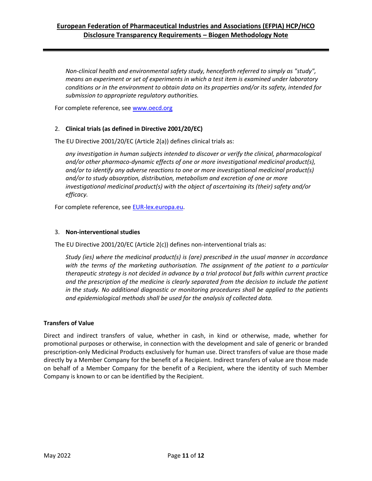### **European Federation of Pharmaceutical Industries and Associations (EFPIA) HCP/HCO Disclosure Transparency Requirements – Biogen Methodology Note**

*Non-clinical health and environmental safety study, henceforth referred to simply as "study", means an experiment or set of experiments in which a test item is examined under laboratory conditions or in the environment to obtain data on its properties and/or its safety, intended for submission to appropriate regulatory authorities.* 

For complete reference, see [www.oecd.org](http://www.oecd.org/)

#### 2. **Clinical trials (as defined in Directive 2001/20/EC)**

The EU Directive 2001/20/EC (Article 2(a)) defines clinical trials as:

*any investigation in human subjects intended to discover or verify the clinical, pharmacological and/or other pharmaco-dynamic effects of one or more investigational medicinal product(s), and/or to identify any adverse reactions to one or more investigational medicinal product(s) and/or to study absorption, distribution, metabolism and excretion of one or more investigational medicinal product(s) with the object of ascertaining its (their) safety and/or efficacy.* 

For complete reference, see [EUR-lex.europa.eu.](http://eur-lex.europa.eu/)

#### 3. **Non-interventional studies**

The EU Directive 2001/20/EC (Article 2(c)) defines non-interventional trials as:

*Study (ies) where the medicinal product(s) is (are) prescribed in the usual manner in accordance*  with the terms of the marketing authorisation. The assignment of the patient to a particular *therapeutic strategy is not decided in advance by a trial protocol but falls within current practice*  and the prescription of the medicine is clearly separated from the decision to include the patient *in the study. No additional diagnostic or monitoring procedures shall be applied to the patients and epidemiological methods shall be used for the analysis of collected data.*

#### **Transfers of Value**

Direct and indirect transfers of value, whether in cash, in kind or otherwise, made, whether for promotional purposes or otherwise, in connection with the development and sale of generic or branded prescription-only Medicinal Products exclusively for human use. Direct transfers of value are those made directly by a Member Company for the benefit of a Recipient. Indirect transfers of value are those made on behalf of a Member Company for the benefit of a Recipient, where the identity of such Member Company is known to or can be identified by the Recipient.